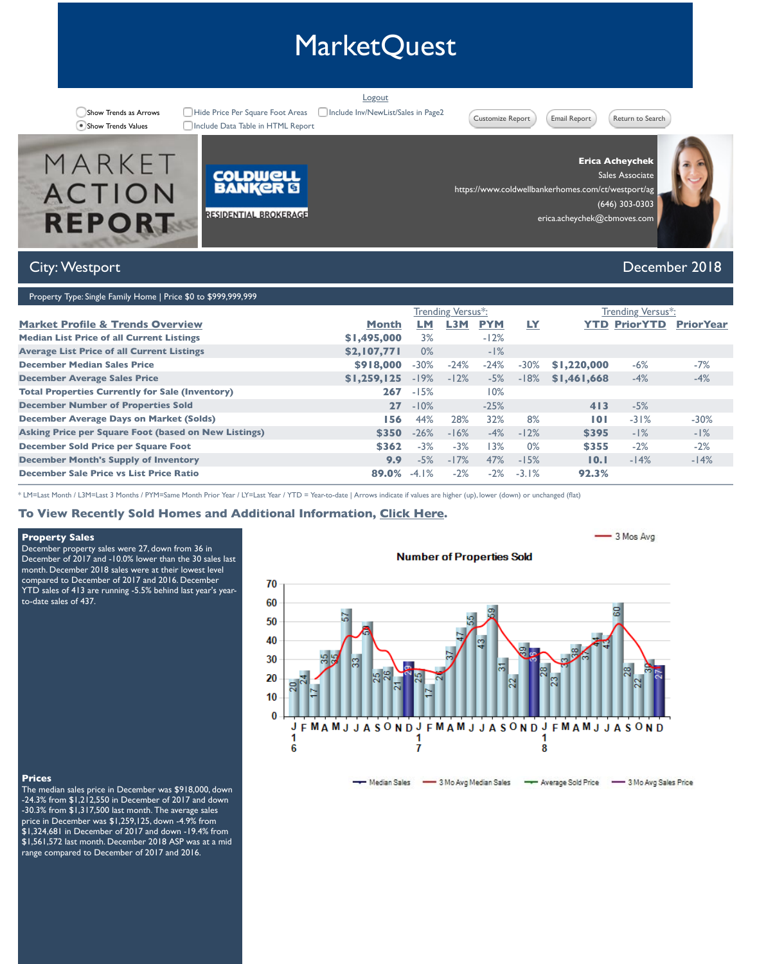| <b>December Average Sales Price</b>                         | \$1,259,125 | $-19%$  | $-12$ |
|-------------------------------------------------------------|-------------|---------|-------|
| <b>Total Properties Currently for Sale (Inventory)</b>      | 267         | $-15%$  |       |
| <b>December Number of Properties Sold</b>                   | 27          | $-10%$  |       |
| <b>December Average Days on Market (Solds)</b>              | 156         | 44%     | 28    |
| <b>Asking Price per Square Foot (based on New Listings)</b> | \$350       | $-26%$  | $-16$ |
| <b>December Sold Price per Square Foot</b>                  | \$362       | $-3%$   |       |
| <b>December Month's Supply of Inventory</b>                 | 9.9         | $-5%$   | $-1$  |
| <b>December Sale Price vs List Price Ratio</b>              | 89.0%       | $-4.1%$ |       |

\* LM=Last Month / L3M=Last 3 Months / PYM=Same Month Prior Year / LY=Last Year / YTD = Year-to-date | Arrows indicate if values are higher

# **To View Recently Sold Homes and Additional Information, Click Here.**

## **Property Sales**

December property sales were 27, down from 36 in December of 2017 and -10.0% lower than the 30 sales last month. December 2018 sales were at their lowest level compared to December of 2017 and 2016. December YTD sales of 413 are running -5.5% behind last year's yearto-date sales of 437.

# **Number of P**



#### **Prices**

The median sales price in December was \$918,000, down -24.3% from \$1,212,550 in December of 2017 and down -30.3% from \$1,317,500 last month. The average sales price in December was \$1,259,125, down -4.9% from \$1,324,681 in December of 2017 and down -19.4% from \$1,561,572 last month. December 2018 ASP was at a mid range compared to December of 2017 and 2016.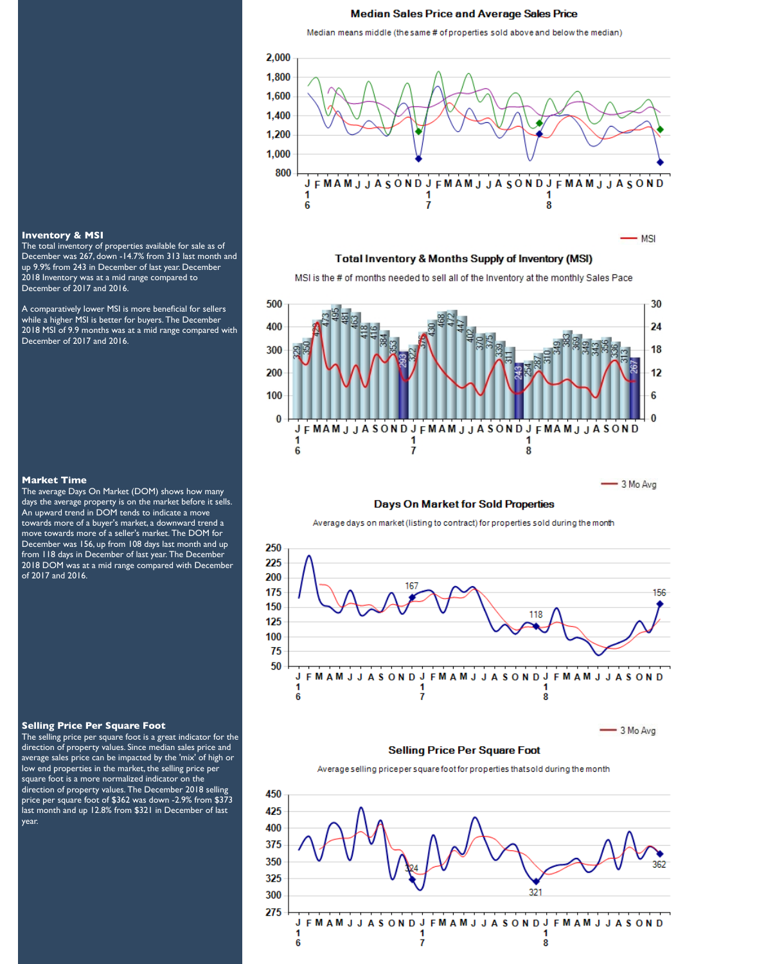#### **Median Sales Price and Average Sales Price**

Median means middle (the same # of properties sold above and below the median)



**Total Inventory & Months Supply of Inventory (MSI)** 

MSI is the # of months needed to sell all of the Inventory at the monthly Sales Pace



#### **Days On Market for Sold Properties**

Average days on market (listing to contract) for properties sold during the month



#### **Inventory & MSI**

The total inventory of properties available for sale as of December was 267, down -14.7% from 313 last month and up 9.9% from 243 in December of last year. December 2018 Inventory was at a mid range compared to December of 2017 and 2016.

A comparatively lower MSI is more beneficial for sellers while a higher MSI is better for buyers. The December 2018 MSI of 9.9 months was at a mid range compared with December of 2017 and 2016.

#### **Market Time**

The average Days On Market (DOM) shows how many days the average property is on the market before it sells. An upward trend in DOM tends to indicate a move towards more of a buyer's market, a downward trend a move towards more of a seller's market. The DOM for December was 156, up from 108 days last month and up from 118 days in December of last year. The December 2018 DOM was at a mid range compared with December of 2017 and 2016.

#### **Selling Price Per Square Foot**

The selling price per square foot is a great indicator for the direction of property values. Since median sales price and average sales price can be impacted by the 'mix' of high or low end properties in the market, the selling price per square foot is a more normalized indicator on the direction of property values. The December 2018 selling price per square foot of \$362 was down -2.9% from \$373 last month and up 12.8% from \$321 in December of last year.

#### **FMAMJJASOND FMAMJJASONDJ** υ **JASUNDJ** 1 1 1 6 7 8

 $-3$  Mo Avg

# **Selling Price Per Square Foot**

Average selling priceper square foot for properties that sold during the month